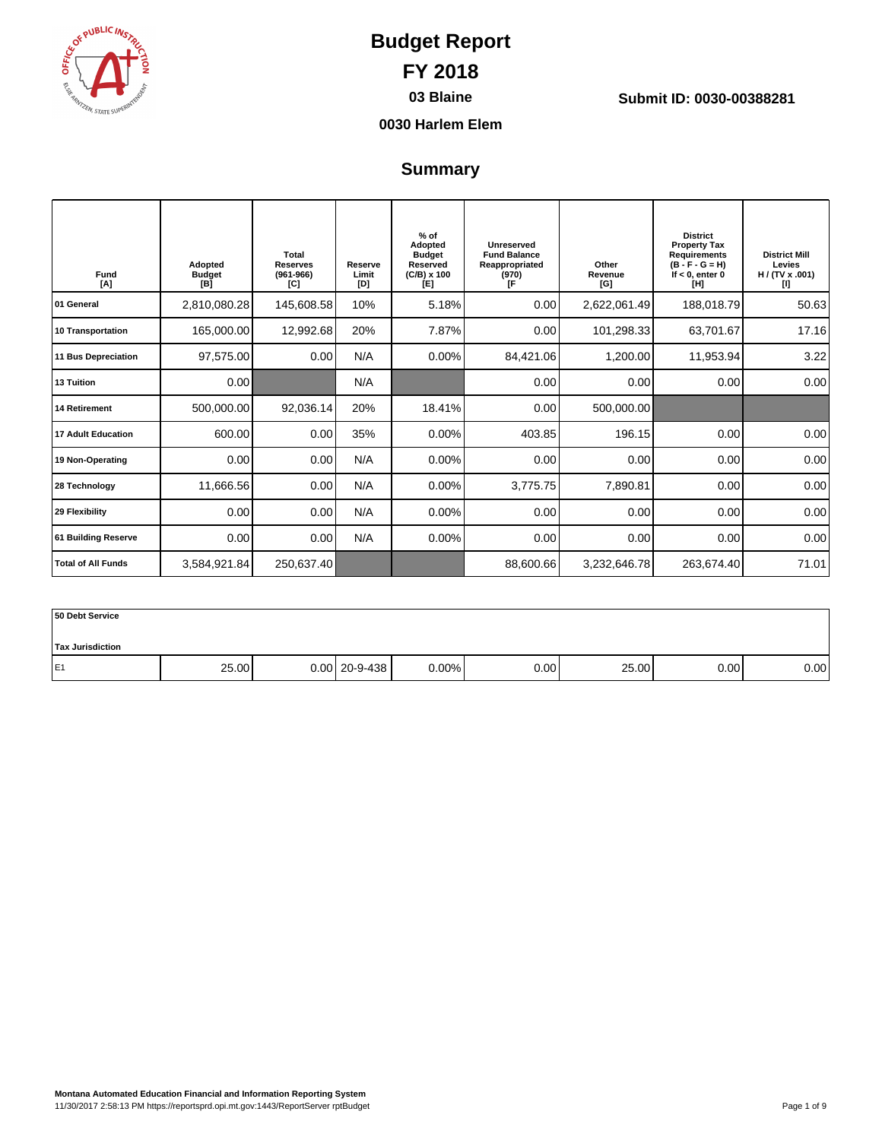

**03 Blaine Submit ID: 0030-00388281**

### **0030 Harlem Elem**

### **Summary**

| Fund<br>[A]               | Adopted<br><b>Budget</b><br>[B] | Total<br><b>Reserves</b><br>$(961 - 966)$<br>[C] | Reserve<br>Limit<br>[D] | $%$ of<br>Adopted<br><b>Budget</b><br><b>Reserved</b><br>$(C/B) \times 100$<br>[E] | Unreserved<br><b>Fund Balance</b><br>Reappropriated<br>(970)<br>ſF | Other<br>Revenue<br>[G] | <b>District</b><br><b>Property Tax</b><br><b>Requirements</b><br>$(B - F - G = H)$<br>If $< 0$ , enter 0<br>ſШ | <b>District Mill</b><br>Levies<br>H / (TV x .001)<br>w |
|---------------------------|---------------------------------|--------------------------------------------------|-------------------------|------------------------------------------------------------------------------------|--------------------------------------------------------------------|-------------------------|----------------------------------------------------------------------------------------------------------------|--------------------------------------------------------|
| 01 General                | 2,810,080.28                    | 145,608.58                                       | 10%                     | 5.18%                                                                              | 0.00                                                               | 2,622,061.49            | 188,018.79                                                                                                     | 50.63                                                  |
| 10 Transportation         | 165,000.00                      | 12,992.68                                        | 20%                     | 7.87%                                                                              | 0.00                                                               | 101,298.33              | 63,701.67                                                                                                      | 17.16                                                  |
| 11 Bus Depreciation       | 97,575.00                       | 0.00                                             | N/A                     | 0.00%                                                                              | 84,421.06                                                          | 1,200.00                | 11,953.94                                                                                                      | 3.22                                                   |
| 13 Tuition                | 0.00                            |                                                  | N/A                     |                                                                                    | 0.00                                                               | 0.00                    | 0.00                                                                                                           | 0.00                                                   |
| <b>14 Retirement</b>      | 500,000.00                      | 92,036.14                                        | 20%                     | 18.41%                                                                             | 0.00                                                               | 500,000.00              |                                                                                                                |                                                        |
| <b>17 Adult Education</b> | 600.00                          | 0.00                                             | 35%                     | 0.00%                                                                              | 403.85                                                             | 196.15                  | 0.00                                                                                                           | 0.00                                                   |
| 19 Non-Operating          | 0.00                            | 0.00                                             | N/A                     | 0.00%                                                                              | 0.00                                                               | 0.00                    | 0.00                                                                                                           | 0.00                                                   |
| 28 Technology             | 11,666.56                       | 0.00                                             | N/A                     | 0.00%                                                                              | 3,775.75                                                           | 7,890.81                | 0.00                                                                                                           | 0.00                                                   |
| 29 Flexibility            | 0.00                            | 0.00                                             | N/A                     | 0.00%                                                                              | 0.00                                                               | 0.00                    | 0.00                                                                                                           | 0.00                                                   |
| 61 Building Reserve       | 0.00                            | 0.00                                             | N/A                     | 0.00%                                                                              | 0.00                                                               | 0.00                    | 0.00                                                                                                           | 0.00                                                   |
| <b>Total of All Funds</b> | 3,584,921.84                    | 250,637.40                                       |                         |                                                                                    | 88,600.66                                                          | 3,232,646.78            | 263,674.40                                                                                                     | 71.01                                                  |

| 50 Debt Service         |       |                 |       |      |       |      |      |
|-------------------------|-------|-----------------|-------|------|-------|------|------|
| <b>Tax Jurisdiction</b> |       |                 |       |      |       |      |      |
| E <sub>1</sub>          | 25.00 | $0.00$ 20-9-438 | 0.00% | 0.00 | 25.00 | 0.00 | 0.00 |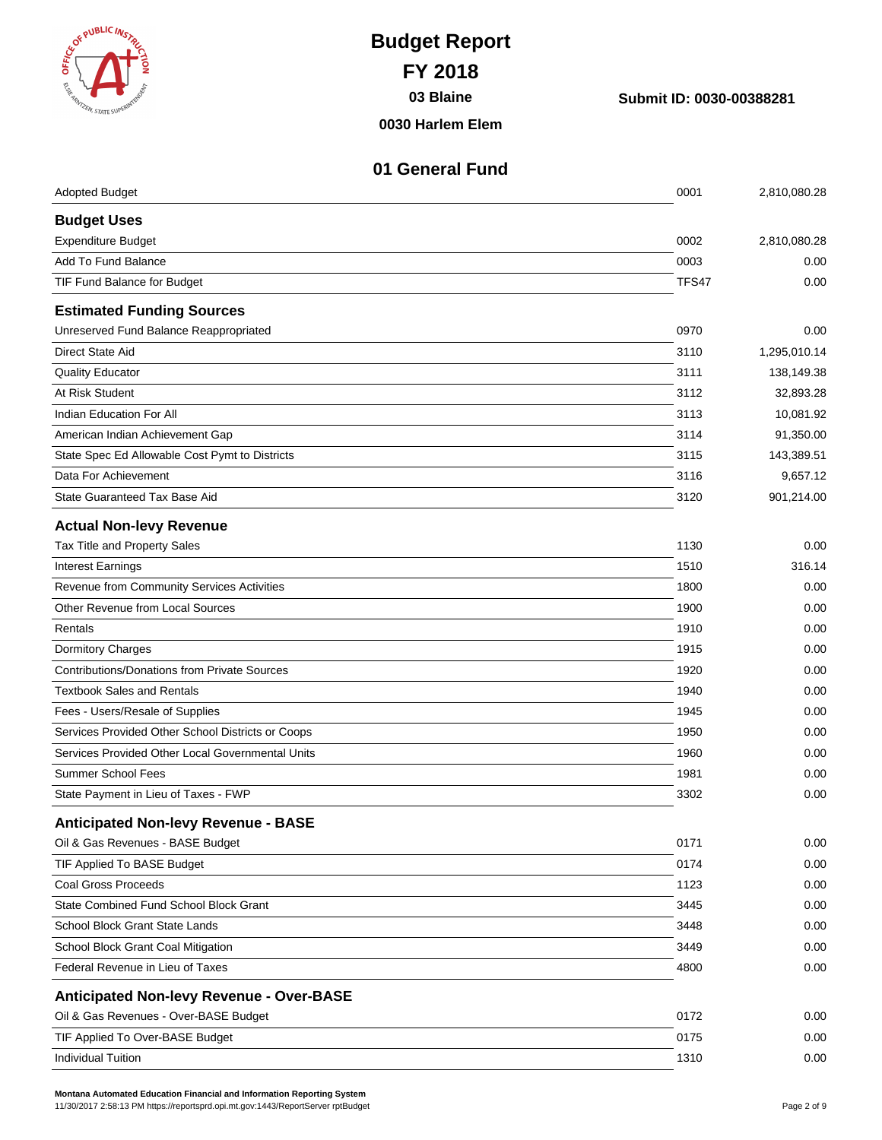| <b>BELICINST</b><br><b>REGISTER STATE SUP</b>       | <b>Budget Report</b><br><b>FY 2018</b><br>03 Blaine<br>0030 Harlem Elem | Submit ID: 0030-00388281 |                         |
|-----------------------------------------------------|-------------------------------------------------------------------------|--------------------------|-------------------------|
| <b>Adopted Budget</b>                               | 01 General Fund                                                         | 0001                     | 2,810,080.28            |
|                                                     |                                                                         |                          |                         |
| <b>Budget Uses</b><br>Expenditure Budget            |                                                                         | 0002                     | 2,810,080.28            |
| <b>Add To Fund Balance</b>                          |                                                                         | 0003                     | 0.00                    |
| TIF Fund Balance for Budget                         |                                                                         | TFS47                    | 0.00                    |
|                                                     |                                                                         |                          |                         |
| <b>Estimated Funding Sources</b>                    |                                                                         |                          |                         |
| Unreserved Fund Balance Reappropriated              |                                                                         | 0970                     | 0.00                    |
| <b>Direct State Aid</b>                             |                                                                         | 3110                     | 1,295,010.14            |
| <b>Quality Educator</b><br>At Risk Student          |                                                                         | 3111<br>3112             | 138,149.38<br>32,893.28 |
| Indian Education For All                            |                                                                         | 3113                     | 10,081.92               |
| American Indian Achievement Gap                     |                                                                         | 3114                     | 91,350.00               |
| State Spec Ed Allowable Cost Pymt to Districts      |                                                                         | 3115                     | 143,389.51              |
| Data For Achievement                                |                                                                         | 3116                     | 9,657.12                |
| State Guaranteed Tax Base Aid                       |                                                                         | 3120                     | 901,214.00              |
|                                                     |                                                                         |                          |                         |
| <b>Actual Non-levy Revenue</b>                      |                                                                         |                          |                         |
| Tax Title and Property Sales                        |                                                                         | 1130                     | 0.00                    |
| <b>Interest Earnings</b>                            |                                                                         | 1510                     | 316.14                  |
| Revenue from Community Services Activities          |                                                                         | 1800                     | 0.00                    |
| <b>Other Revenue from Local Sources</b>             |                                                                         | 1900                     | 0.00                    |
| Rentals                                             |                                                                         | 1910                     | 0.00                    |
| Dormitory Charges                                   |                                                                         | 1915                     | 0.00                    |
| <b>Contributions/Donations from Private Sources</b> |                                                                         | 1920                     | 0.00                    |
| <b>Textbook Sales and Rentals</b>                   |                                                                         | 1940                     | 0.00                    |
| Fees - Users/Resale of Supplies                     |                                                                         | 1945                     | 0.00                    |
| Services Provided Other School Districts or Coops   |                                                                         | 1950                     | 0.00                    |
| Services Provided Other Local Governmental Units    |                                                                         | 1960                     | 0.00                    |
| <b>Summer School Fees</b>                           |                                                                         | 1981                     | 0.00                    |
| State Payment in Lieu of Taxes - FWP                |                                                                         | 3302                     | 0.00                    |
| <b>Anticipated Non-levy Revenue - BASE</b>          |                                                                         |                          |                         |
| Oil & Gas Revenues - BASE Budget                    |                                                                         | 0171                     | 0.00                    |
| TIF Applied To BASE Budget                          |                                                                         | 0174                     | 0.00                    |
| <b>Coal Gross Proceeds</b>                          |                                                                         | 1123                     | 0.00                    |
| State Combined Fund School Block Grant              |                                                                         | 3445                     | 0.00                    |
| School Block Grant State Lands                      |                                                                         | 3448                     | 0.00                    |
| School Block Grant Coal Mitigation                  |                                                                         | 3449                     | 0.00                    |
| Federal Revenue in Lieu of Taxes                    |                                                                         | 4800                     | 0.00                    |
| <b>Anticipated Non-levy Revenue - Over-BASE</b>     |                                                                         |                          |                         |
| Oil & Gas Revenues - Over-BASE Budget               |                                                                         | 0172                     | 0.00                    |
| TIF Applied To Over-BASE Budget                     |                                                                         | 0175                     | 0.00                    |

Individual Tuition 0.00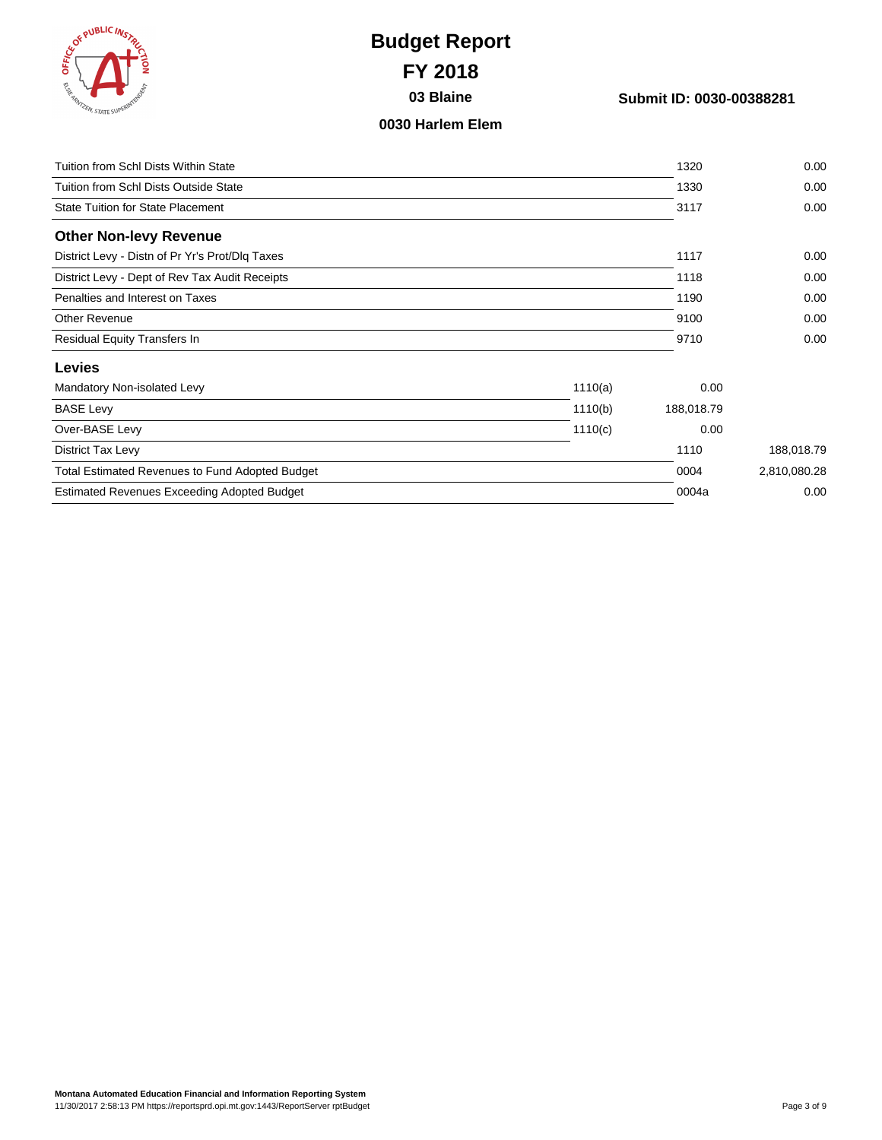

**03 Blaine Submit ID: 0030-00388281**

#### **0030 Harlem Elem**

| Tuition from Schl Dists Within State                   |         | 1320       | 0.00         |
|--------------------------------------------------------|---------|------------|--------------|
| Tuition from Schl Dists Outside State                  |         | 1330       | 0.00         |
| <b>State Tuition for State Placement</b>               |         | 3117       | 0.00         |
| <b>Other Non-levy Revenue</b>                          |         |            |              |
| District Levy - Distn of Pr Yr's Prot/Dlq Taxes        |         | 1117       | 0.00         |
| District Levy - Dept of Rev Tax Audit Receipts         |         | 1118       | 0.00         |
| Penalties and Interest on Taxes                        |         | 1190       | 0.00         |
| <b>Other Revenue</b>                                   |         | 9100       | 0.00         |
| Residual Equity Transfers In                           |         | 9710       | 0.00         |
| <b>Levies</b>                                          |         |            |              |
| Mandatory Non-isolated Levy                            | 1110(a) | 0.00       |              |
| <b>BASE Levy</b>                                       | 1110(b) | 188,018.79 |              |
| Over-BASE Levy                                         | 1110(c) | 0.00       |              |
| District Tax Levy                                      |         | 1110       | 188,018.79   |
| <b>Total Estimated Revenues to Fund Adopted Budget</b> |         | 0004       | 2,810,080.28 |
| <b>Estimated Revenues Exceeding Adopted Budget</b>     |         | 0004a      | 0.00         |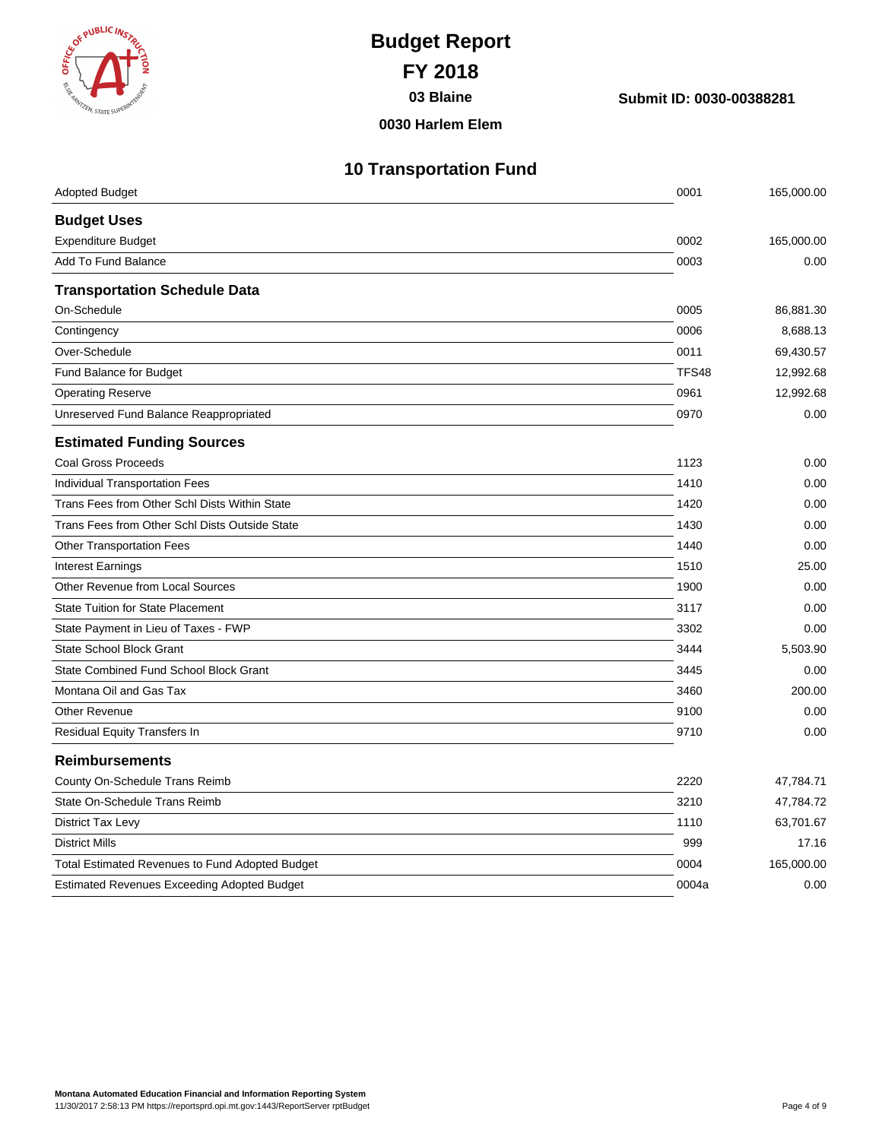

**03 Blaine Submit ID: 0030-00388281**

#### **0030 Harlem Elem**

## **10 Transportation Fund**

| <b>Adopted Budget</b>                                  | 0001         | 165,000.00 |
|--------------------------------------------------------|--------------|------------|
| <b>Budget Uses</b>                                     |              |            |
| <b>Expenditure Budget</b>                              | 0002         | 165,000.00 |
| Add To Fund Balance                                    | 0003         | 0.00       |
| <b>Transportation Schedule Data</b>                    |              |            |
| On-Schedule                                            | 0005         | 86,881.30  |
| Contingency                                            | 0006         | 8,688.13   |
| Over-Schedule                                          | 0011         | 69,430.57  |
| Fund Balance for Budget                                | <b>TFS48</b> | 12,992.68  |
| <b>Operating Reserve</b>                               | 0961         | 12,992.68  |
| Unreserved Fund Balance Reappropriated                 | 0970         | 0.00       |
| <b>Estimated Funding Sources</b>                       |              |            |
| <b>Coal Gross Proceeds</b>                             | 1123         | 0.00       |
| Individual Transportation Fees                         | 1410         | 0.00       |
| Trans Fees from Other Schl Dists Within State          | 1420         | 0.00       |
| Trans Fees from Other Schl Dists Outside State         | 1430         | 0.00       |
| <b>Other Transportation Fees</b>                       | 1440         | 0.00       |
| <b>Interest Earnings</b>                               | 1510         | 25.00      |
| Other Revenue from Local Sources                       | 1900         | 0.00       |
| <b>State Tuition for State Placement</b>               | 3117         | 0.00       |
| State Payment in Lieu of Taxes - FWP                   | 3302         | 0.00       |
| <b>State School Block Grant</b>                        | 3444         | 5,503.90   |
| State Combined Fund School Block Grant                 | 3445         | 0.00       |
| Montana Oil and Gas Tax                                | 3460         | 200.00     |
| <b>Other Revenue</b>                                   | 9100         | 0.00       |
| Residual Equity Transfers In                           | 9710         | 0.00       |
| <b>Reimbursements</b>                                  |              |            |
| County On-Schedule Trans Reimb                         | 2220         | 47,784.71  |
| State On-Schedule Trans Reimb                          | 3210         | 47,784.72  |
| District Tax Levy                                      | 1110         | 63,701.67  |
| <b>District Mills</b>                                  | 999          | 17.16      |
| <b>Total Estimated Revenues to Fund Adopted Budget</b> | 0004         | 165,000.00 |
| <b>Estimated Revenues Exceeding Adopted Budget</b>     | 0004a        | 0.00       |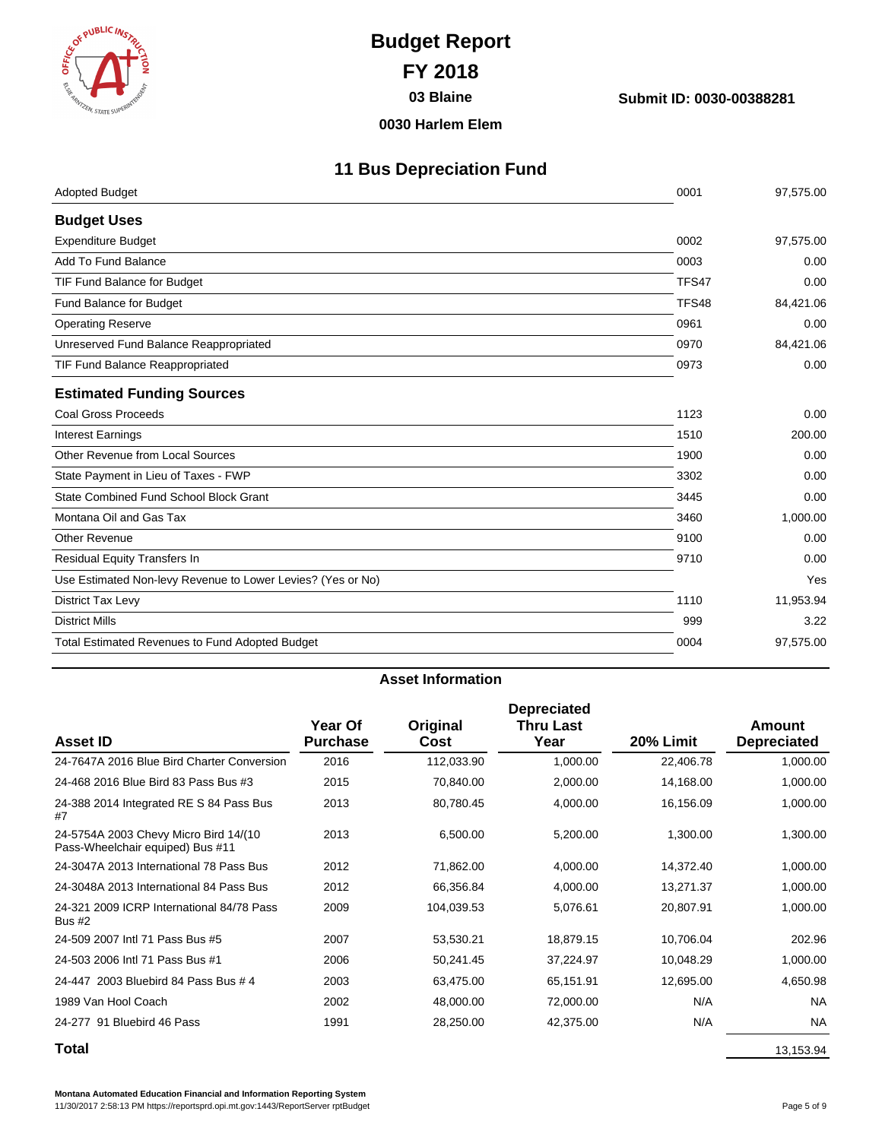

**03 Blaine Submit ID: 0030-00388281**

#### **0030 Harlem Elem**

## **11 Bus Depreciation Fund**

| <b>Adopted Budget</b>                                       | 0001  | 97,575.00 |
|-------------------------------------------------------------|-------|-----------|
| <b>Budget Uses</b>                                          |       |           |
| <b>Expenditure Budget</b>                                   | 0002  | 97,575.00 |
| Add To Fund Balance                                         | 0003  | 0.00      |
| TIF Fund Balance for Budget                                 | TFS47 | 0.00      |
| Fund Balance for Budget                                     | TFS48 | 84,421.06 |
| <b>Operating Reserve</b>                                    | 0961  | 0.00      |
| Unreserved Fund Balance Reappropriated                      | 0970  | 84,421.06 |
| TIF Fund Balance Reappropriated                             | 0973  | 0.00      |
| <b>Estimated Funding Sources</b>                            |       |           |
| Coal Gross Proceeds                                         | 1123  | 0.00      |
| <b>Interest Earnings</b>                                    | 1510  | 200.00    |
| Other Revenue from Local Sources                            | 1900  | 0.00      |
| State Payment in Lieu of Taxes - FWP                        | 3302  | 0.00      |
| State Combined Fund School Block Grant                      | 3445  | 0.00      |
| Montana Oil and Gas Tax                                     | 3460  | 1,000.00  |
| <b>Other Revenue</b>                                        | 9100  | 0.00      |
| Residual Equity Transfers In                                | 9710  | 0.00      |
| Use Estimated Non-levy Revenue to Lower Levies? (Yes or No) |       | Yes       |
| District Tax Levy                                           | 1110  | 11,953.94 |
| <b>District Mills</b>                                       | 999   | 3.22      |
| <b>Total Estimated Revenues to Fund Adopted Budget</b>      | 0004  | 97,575.00 |
|                                                             |       |           |

#### **Asset Information**

| <b>Asset ID</b>                                                           | Year Of<br><b>Purchase</b> | Original<br>Cost | <b>Depreciated</b><br><b>Thru Last</b><br>Year | 20% Limit | Amount<br><b>Depreciated</b> |
|---------------------------------------------------------------------------|----------------------------|------------------|------------------------------------------------|-----------|------------------------------|
| 24-7647A 2016 Blue Bird Charter Conversion                                | 2016                       | 112,033.90       | 1,000.00                                       | 22,406.78 | 1,000.00                     |
| 24-468 2016 Blue Bird 83 Pass Bus #3                                      | 2015                       | 70,840.00        | 2,000.00                                       | 14,168.00 | 1,000.00                     |
| 24-388 2014 Integrated RE S 84 Pass Bus<br>#7                             | 2013                       | 80,780.45        | 4,000.00                                       | 16,156.09 | 1,000.00                     |
| 24-5754A 2003 Chevy Micro Bird 14/(10<br>Pass-Wheelchair equiped) Bus #11 | 2013                       | 6,500.00         | 5,200.00                                       | 1,300.00  | 1,300.00                     |
| 24-3047A 2013 International 78 Pass Bus                                   | 2012                       | 71,862.00        | 4,000.00                                       | 14,372.40 | 1,000.00                     |
| 24-3048A 2013 International 84 Pass Bus                                   | 2012                       | 66,356.84        | 4,000.00                                       | 13,271.37 | 1,000.00                     |
| 24-321 2009 ICRP International 84/78 Pass<br><b>Bus #2</b>                | 2009                       | 104,039.53       | 5,076.61                                       | 20,807.91 | 1,000.00                     |
| 24-509 2007 Intl 71 Pass Bus #5                                           | 2007                       | 53,530.21        | 18,879.15                                      | 10,706.04 | 202.96                       |
| 24-503 2006 Intl 71 Pass Bus #1                                           | 2006                       | 50,241.45        | 37,224.97                                      | 10,048.29 | 1,000.00                     |
| 24-447 2003 Bluebird 84 Pass Bus # 4                                      | 2003                       | 63,475.00        | 65,151.91                                      | 12,695.00 | 4,650.98                     |
| 1989 Van Hool Coach                                                       | 2002                       | 48,000.00        | 72,000.00                                      | N/A       | <b>NA</b>                    |
| 24-277 91 Bluebird 46 Pass                                                | 1991                       | 28,250.00        | 42,375.00                                      | N/A       | <b>NA</b>                    |
| Total                                                                     |                            |                  |                                                |           | 13,153.94                    |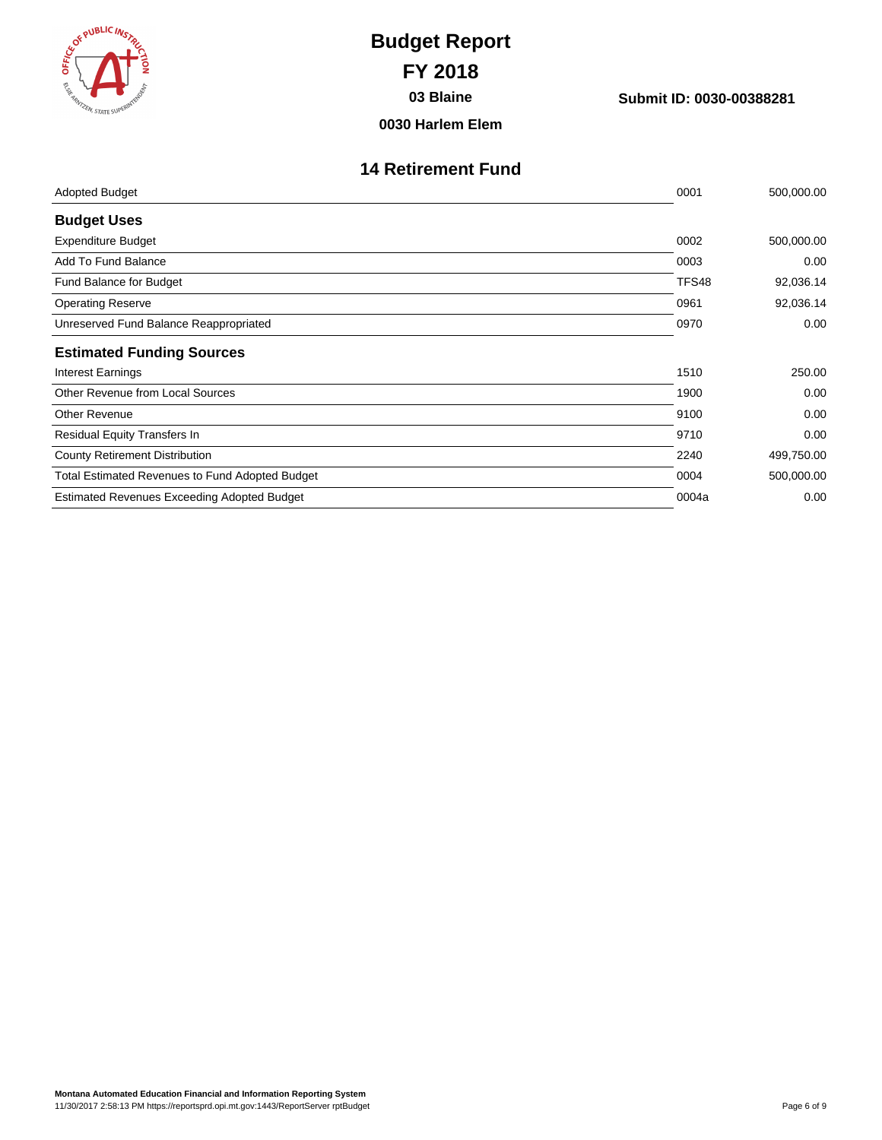| ES ( WALIC INSTRUCT                   | ş |
|---------------------------------------|---|
|                                       |   |
| <b>REAMINIZEN, STATE SUPERINTENDE</b> |   |

**03 Blaine Submit ID: 0030-00388281**

**0030 Harlem Elem**

### **14 Retirement Fund**

| 0001  | 500,000.00 |
|-------|------------|
|       |            |
| 0002  | 500,000.00 |
| 0003  | 0.00       |
| TFS48 | 92,036.14  |
| 0961  | 92,036.14  |
| 0970  | 0.00       |
|       |            |
| 1510  | 250.00     |
| 1900  | 0.00       |
| 9100  | 0.00       |
| 9710  | 0.00       |
| 2240  | 499,750.00 |
| 0004  | 500,000.00 |
| 0004a | 0.00       |
|       |            |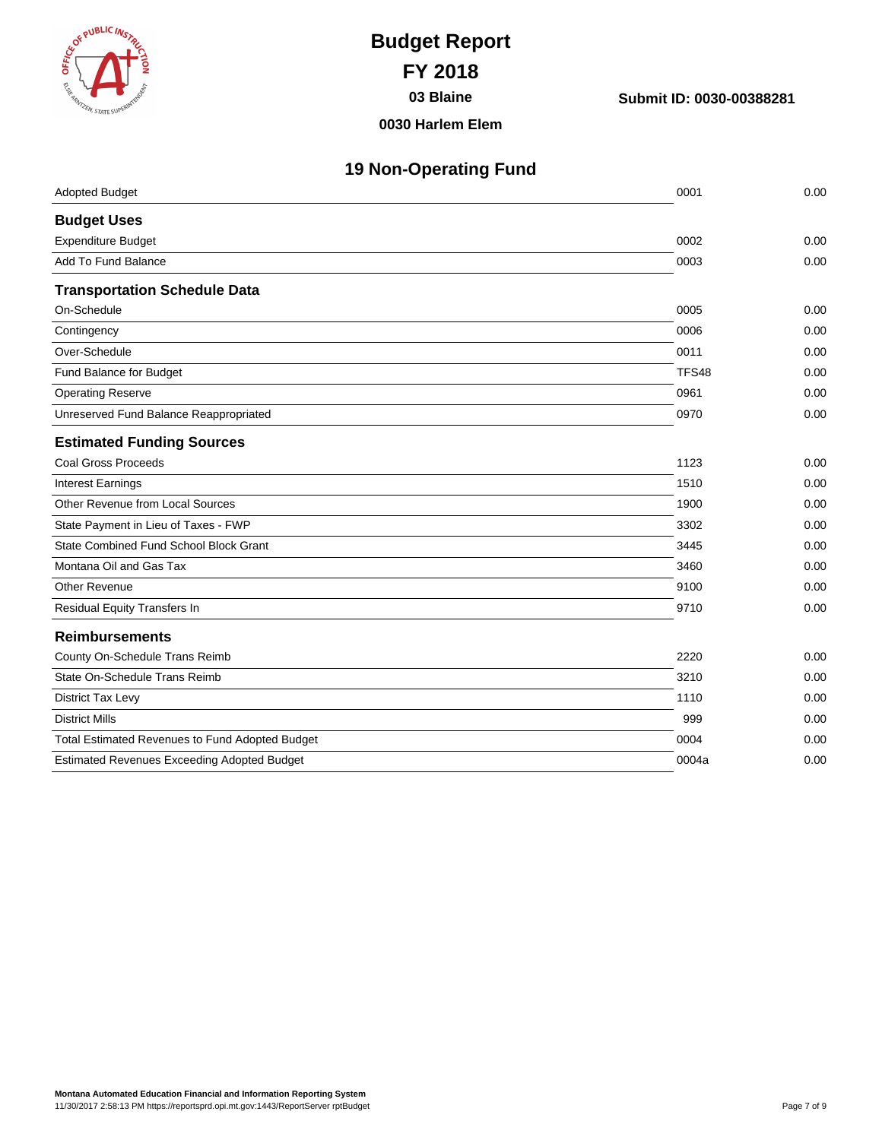

**03 Blaine Submit ID: 0030-00388281**

#### **0030 Harlem Elem**

|  | <b>19 Non-Operating Fund</b> |  |
|--|------------------------------|--|
|  |                              |  |

| <b>Adopted Budget</b>                              | 0001  | 0.00 |
|----------------------------------------------------|-------|------|
| <b>Budget Uses</b>                                 |       |      |
| <b>Expenditure Budget</b>                          | 0002  | 0.00 |
| Add To Fund Balance                                | 0003  | 0.00 |
| <b>Transportation Schedule Data</b>                |       |      |
| On-Schedule                                        | 0005  | 0.00 |
| Contingency                                        | 0006  | 0.00 |
| Over-Schedule                                      | 0011  | 0.00 |
| Fund Balance for Budget                            | TFS48 | 0.00 |
| <b>Operating Reserve</b>                           | 0961  | 0.00 |
| Unreserved Fund Balance Reappropriated             | 0970  | 0.00 |
| <b>Estimated Funding Sources</b>                   |       |      |
| Coal Gross Proceeds                                | 1123  | 0.00 |
| <b>Interest Earnings</b>                           | 1510  | 0.00 |
| Other Revenue from Local Sources                   | 1900  | 0.00 |
| State Payment in Lieu of Taxes - FWP               | 3302  | 0.00 |
| State Combined Fund School Block Grant             | 3445  | 0.00 |
| Montana Oil and Gas Tax                            | 3460  | 0.00 |
| <b>Other Revenue</b>                               | 9100  | 0.00 |
| Residual Equity Transfers In                       | 9710  | 0.00 |
| <b>Reimbursements</b>                              |       |      |
| County On-Schedule Trans Reimb                     | 2220  | 0.00 |
| State On-Schedule Trans Reimb                      | 3210  | 0.00 |
| <b>District Tax Levy</b>                           | 1110  | 0.00 |
| <b>District Mills</b>                              | 999   | 0.00 |
| Total Estimated Revenues to Fund Adopted Budget    | 0004  | 0.00 |
| <b>Estimated Revenues Exceeding Adopted Budget</b> | 0004a | 0.00 |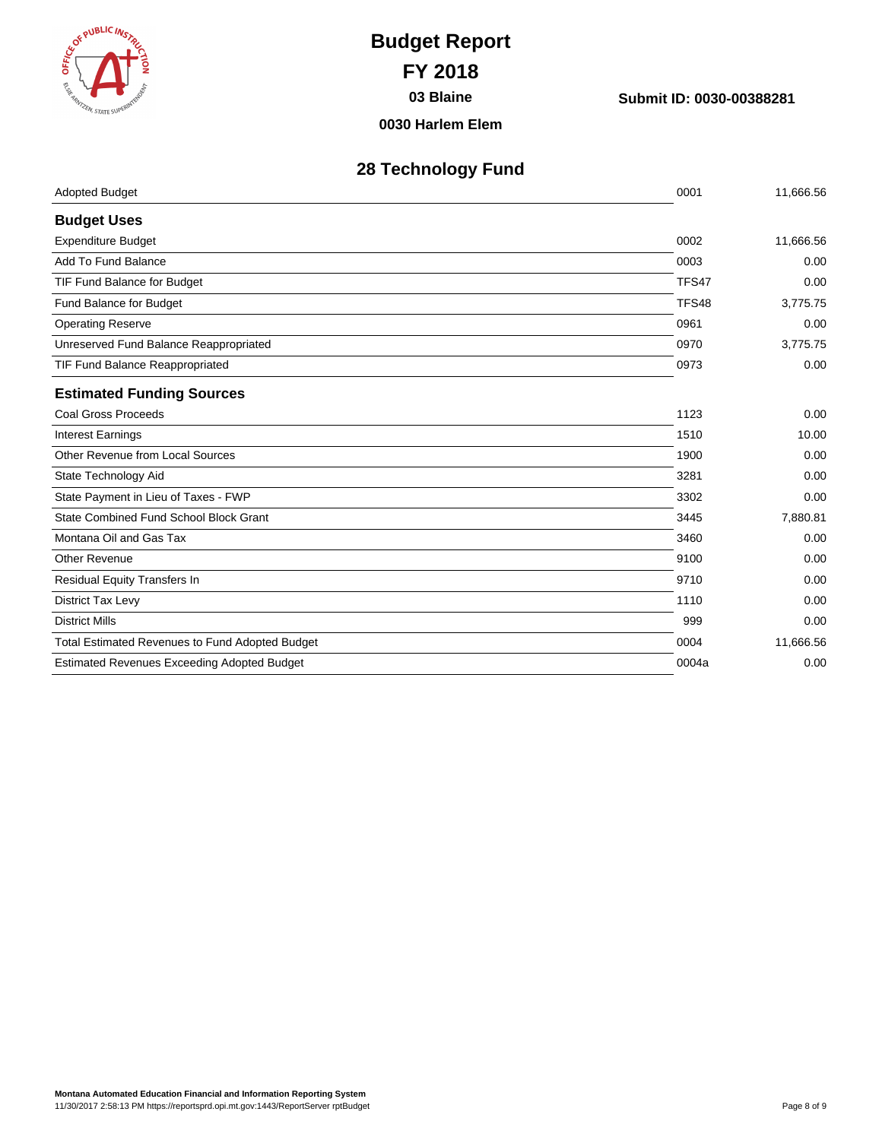

**03 Blaine Submit ID: 0030-00388281**

**0030 Harlem Elem**

## **28 Technology Fund**

| <b>Adopted Budget</b>                                  | 0001  | 11,666.56 |
|--------------------------------------------------------|-------|-----------|
| <b>Budget Uses</b>                                     |       |           |
| <b>Expenditure Budget</b>                              | 0002  | 11,666.56 |
| Add To Fund Balance                                    | 0003  | 0.00      |
| TIF Fund Balance for Budget                            | TFS47 | 0.00      |
| Fund Balance for Budget                                | TFS48 | 3,775.75  |
| <b>Operating Reserve</b>                               | 0961  | 0.00      |
| Unreserved Fund Balance Reappropriated                 | 0970  | 3,775.75  |
| TIF Fund Balance Reappropriated                        | 0973  | 0.00      |
| <b>Estimated Funding Sources</b>                       |       |           |
| <b>Coal Gross Proceeds</b>                             | 1123  | 0.00      |
| <b>Interest Earnings</b>                               | 1510  | 10.00     |
| Other Revenue from Local Sources                       | 1900  | 0.00      |
| State Technology Aid                                   | 3281  | 0.00      |
| State Payment in Lieu of Taxes - FWP                   | 3302  | 0.00      |
| State Combined Fund School Block Grant                 | 3445  | 7,880.81  |
| Montana Oil and Gas Tax                                | 3460  | 0.00      |
| Other Revenue                                          | 9100  | 0.00      |
| Residual Equity Transfers In                           | 9710  | 0.00      |
| District Tax Levy                                      | 1110  | 0.00      |
| <b>District Mills</b>                                  | 999   | 0.00      |
| <b>Total Estimated Revenues to Fund Adopted Budget</b> | 0004  | 11,666.56 |
| <b>Estimated Revenues Exceeding Adopted Budget</b>     | 0004a | 0.00      |
|                                                        |       |           |